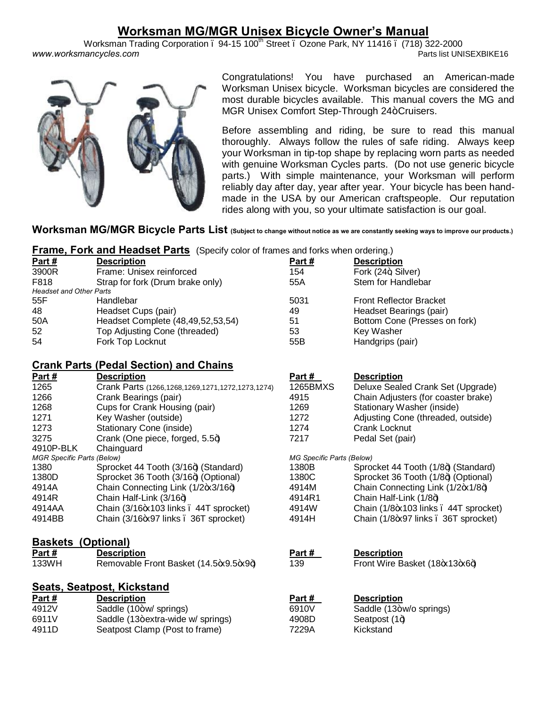# **Worksman MG/MGR Unisex Bicycle Owner's Manual**

Worksman Trading Corporation . 94-15 100<sup>th</sup> Street . Ozone Park, NY 11416 . (718) 322-2000<br>Parts list UNISEXBIKE16 www.worksmancycles.com



Congratulations! You have purchased an American-made Worksman Unisex bicycle. Worksman bicycles are considered the most durable bicycles available. This manual covers the MG and MGR Unisex Comfort Step-Through 24+ Cruisers.

Before assembling and riding, be sure to read this manual thoroughly. Always follow the rules of safe riding. Always keep your Worksman in tip-top shape by replacing worn parts as needed with genuine Worksman Cycles parts. (Do not use generic bicycle parts.) With simple maintenance, your Worksman will perform reliably day after day, year after year. Your bicycle has been handmade in the USA by our American craftspeople. Our reputation rides along with you, so your ultimate satisfaction is our goal.

## **Worksman MG/MGR Bicycle Parts List (Subject to change without notice as we are constantly seeking ways to improve our products.)**

## **Frame, Fork and Headset Parts** (Specify color of frames and forks when ordering.)

4911D Seatpost Clamp (Post to frame) 7229A Kickstand

| Part #                         | <b>Description</b>                | Part# | <b>Description</b>             |  |
|--------------------------------|-----------------------------------|-------|--------------------------------|--|
| 3900R                          | Frame: Unisex reinforced          | 154   | Fork (24+, Silver)             |  |
| F818                           | Strap for fork (Drum brake only)  | 55A   | Stem for Handlebar             |  |
| <b>Headset and Other Parts</b> |                                   |       |                                |  |
| 55F                            | Handlebar                         | 5031  | <b>Front Reflector Bracket</b> |  |
| 48                             | Headset Cups (pair)               | 49    | Headset Bearings (pair)        |  |
| 50A                            | Headset Complete (48,49,52,53,54) | 51    | Bottom Cone (Presses on fork)  |  |
| 52                             | Top Adjusting Cone (threaded)     | 53    | Key Washer                     |  |
| 54                             | Fork Top Locknut                  | 55B   | Handgrips (pair)               |  |

## **Crank Parts (Pedal Section) and Chains**

| Part #                            | <b>Description</b>                                     | Part #                    | <b>Description</b>                    |  |  |
|-----------------------------------|--------------------------------------------------------|---------------------------|---------------------------------------|--|--|
| 1265                              | Crank Parts (1266, 1268, 1269, 1271, 1272, 1273, 1274) | 1265BMXS                  | Deluxe Sealed Crank Set (Upgrade)     |  |  |
| 1266                              | Crank Bearings (pair)                                  | 4915                      | Chain Adjusters (for coaster brake)   |  |  |
| 1268                              | Cups for Crank Housing (pair)                          | 1269                      | Stationary Washer (inside)            |  |  |
| 1271                              | Key Washer (outside)                                   | 1272                      | Adjusting Cone (threaded, outside)    |  |  |
| 1273                              | Stationary Cone (inside)                               | 1274                      | Crank Locknut                         |  |  |
| 3275                              | Crank (One piece, forged, 5.5+)                        | 7217                      | Pedal Set (pair)                      |  |  |
| 4910P-BLK                         | Chainguard                                             |                           |                                       |  |  |
| <b>MGR Specific Parts (Below)</b> |                                                        | MG Specific Parts (Below) |                                       |  |  |
| 1380                              | Sprocket 44 Tooth (3/16+) (Standard)                   | 1380B                     | Sprocket 44 Tooth (1/8+) (Standard)   |  |  |
| 1380D                             | Sprocket 36 Tooth (3/16+) (Optional)                   | 1380C                     | Sprocket 36 Tooth (1/8+) (Optional)   |  |  |
| 4914A                             | Chain Connecting Link (1/2+x3/16+)                     | 4914M                     | Chain Connecting Link (1/2+x1/8+)     |  |  |
| 4914R                             | Chain Half-Link (3/16+)                                | 4914R1                    | Chain Half-Link (1/8+)                |  |  |
| 4914AA                            | Chain (3/16-x103 links . 44T sprocket)                 | 4914W                     | Chain (1/8-x103 links . 44T sprocket) |  |  |
| 4914BB                            | Chain (3/16+897 links . 36T sprocket)                  | 4914H                     | Chain (1/8+97 links . 36T sprocket)   |  |  |
| <b>Baskets</b><br>(Optional)      |                                                        |                           |                                       |  |  |
| <u>Part #</u>                     | <b>Description</b>                                     | <u>Part #</u>             | <b>Description</b>                    |  |  |
| 133WH                             | Removable Front Basket (14.5-x9.5-x9+)                 | 139                       | Front Wire Basket (18+x13+x6+)        |  |  |
|                                   | <b>Seats, Seatpost, Kickstand</b>                      |                           |                                       |  |  |
| Part $#$                          | <b>Description</b>                                     | Part #                    | <b>Description</b>                    |  |  |
| 4912V                             | Saddle (10+w/ springs)                                 | 6910V                     | Saddle (13+w/o springs)               |  |  |
| 6911V                             | Saddle (13+extra-wide w/ springs)                      | 4908D                     | Seatpost $(1+)$                       |  |  |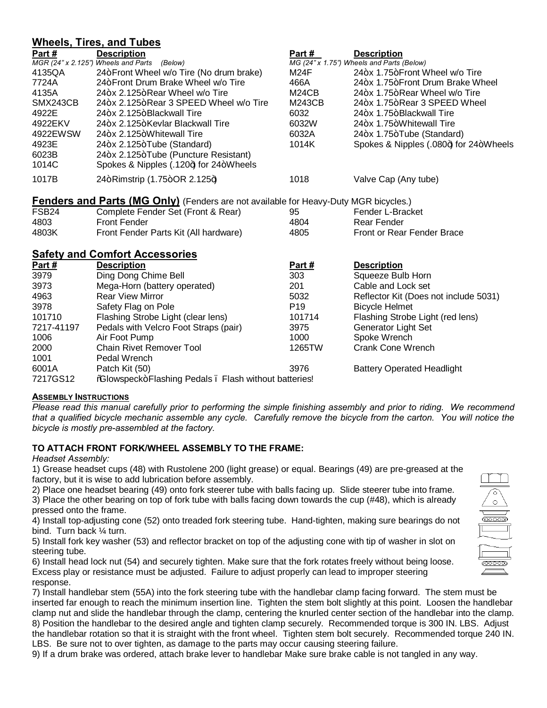## **Wheels, Tires, and Tubes**

|                                       | <u>WILCELS, TILES, AILLE LUDES</u>                                                   |                 |                                           |  |  |
|---------------------------------------|--------------------------------------------------------------------------------------|-----------------|-------------------------------------------|--|--|
| Part#                                 | <b>Description</b>                                                                   | Part #          | <b>Description</b>                        |  |  |
|                                       | MGR (24" x 2.125") Wheels and Parts<br>(Below)                                       |                 | MG (24" x 1.75") Wheels and Parts (Below) |  |  |
| 4135QA                                | 24+Front Wheel w/o Tire (No drum brake)                                              | M24F            | 24+x 1.75+Front Wheel w/o Tire            |  |  |
| 7724A                                 | 24+Front Drum Brake Wheel w/o Tire                                                   | 466A            | 24+x 1.75+Front Drum Brake Wheel          |  |  |
| 4135A                                 | 24+x 2.125+Rear Wheel w/o Tire                                                       | M24CB           | 24+x 1.75+Rear Wheel w/o Tire             |  |  |
| SMX243CB                              | 24+x 2.125+Rear 3 SPEED Wheel w/o Tire                                               | M243CB          | 24+x 1.75+Rear 3 SPEED Wheel              |  |  |
| 4922E                                 | 24+x 2.125+Blackwall Tire                                                            | 6032            | 24+x 1.75+Blackwall Tire                  |  |  |
| 4922EKV                               | 24+x 2.125+Kevlar Blackwall Tire                                                     | 6032W           | 24+x 1.75+Whitewall Tire                  |  |  |
| 4922EWSW                              | 24+x 2.125+Whitewall Tire                                                            | 6032A           | 24+x 1.75+Tube (Standard)                 |  |  |
| 4923E                                 | 24+x 2.125+Tube (Standard)                                                           | 1014K           | Spokes & Nipples (.080+) for 24+Wheels    |  |  |
| 6023B                                 | 24+x 2.125+Tube (Puncture Resistant)                                                 |                 |                                           |  |  |
| 1014C                                 | Spokes & Nipples (.120+) for 24+Wheels                                               |                 |                                           |  |  |
| 1017B                                 | 24+Rimstrip (1.75+OR 2.125+)                                                         | 1018            | Valve Cap (Any tube)                      |  |  |
|                                       | Fenders and Parts (MG Only) (Fenders are not available for Heavy-Duty MGR bicycles.) |                 |                                           |  |  |
| FSB <sub>24</sub>                     | Complete Fender Set (Front & Rear)                                                   | 95              | Fender L-Bracket                          |  |  |
| 4803                                  | <b>Front Fender</b>                                                                  | 4804            | <b>Rear Fender</b>                        |  |  |
| 4803K                                 | Front Fender Parts Kit (All hardware)                                                | 4805            | <b>Front or Rear Fender Brace</b>         |  |  |
| <b>Safety and Comfort Accessories</b> |                                                                                      |                 |                                           |  |  |
| <u>Part #</u>                         | <b>Description</b>                                                                   | <u>Part #</u>   | <b>Description</b>                        |  |  |
| 3979                                  | Ding Dong Chime Bell                                                                 | 303             | Squeeze Bulb Horn                         |  |  |
| 3973                                  | Mega-Horn (battery operated)                                                         | 201             | Cable and Lock set                        |  |  |
| 4963                                  | <b>Rear View Mirror</b>                                                              | 5032            | Reflector Kit (Does not include 5031)     |  |  |
| 3978                                  | Safety Flag on Pole                                                                  | P <sub>19</sub> | <b>Bicycle Helmet</b>                     |  |  |
| 101710                                | Flashing Strobe Light (clear lens)                                                   | 101714          | Flashing Strobe Light (red lens)          |  |  |
| 7217-41197                            | Pedals with Velcro Foot Straps (pair)                                                | 3975            | Generator Light Set                       |  |  |
| 1006                                  | Air Foot Pump                                                                        | 1000            | Spoke Wrench                              |  |  |
| 2000                                  | Chain Rivet Remover Tool                                                             | 1265TW          | Crank Cone Wrench                         |  |  |

6001A Patch Kit (50) 3976 Battery Operated Headlight 7217GS12 % % Blowspeck+ Flashing Pedals . Flash without batteries!

## **ASSEMBLY INSTRUCTIONS**

1001 Pedal Wrench

*Please read this manual carefully prior to performing the simple finishing assembly and prior to riding. We recommend that a qualified bicycle mechanic assemble any cycle. Carefully remove the bicycle from the carton. You will notice the bicycle is mostly pre-assembled at the factory.*

## **TO ATTACH FRONT FORK/WHEEL ASSEMBLY TO THE FRAME:**

## *Headset Assembly:*

1) Grease headset cups (48) with Rustolene 200 (light grease) or equal. Bearings (49) are pre-greased at the factory, but it is wise to add lubrication before assembly.

2) Place one headset bearing (49) onto fork steerer tube with balls facing up. Slide steerer tube into frame.

3) Place the other bearing on top of fork tube with balls facing down towards the cup (#48), which is already pressed onto the frame.

4) Install top-adjusting cone (52) onto treaded fork steering tube. Hand-tighten, making sure bearings do not bind. Turn back ¼ turn.

5) Install fork key washer (53) and reflector bracket on top of the adjusting cone with tip of washer in slot on steering tube.

6) Install head lock nut (54) and securely tighten. Make sure that the fork rotates freely without being loose. Excess play or resistance must be adjusted. Failure to adjust properly can lead to improper steering response.

7) Install handlebar stem (55A) into the fork steering tube with the handlebar clamp facing forward. The stem must be inserted far enough to reach the minimum insertion line. Tighten the stem bolt slightly at this point. Loosen the handlebar clamp nut and slide the handlebar through the clamp, centering the knurled center section of the handlebar into the clamp. 8) Position the handlebar to the desired angle and tighten clamp securely. Recommended torque is 300 IN. LBS. Adjust the handlebar rotation so that it is straight with the front wheel. Tighten stem bolt securely. Recommended torque 240 IN. LBS. Be sure not to over tighten, as damage to the parts may occur causing steering failure.

9) If a drum brake was ordered, attach brake lever to handlebar Make sure brake cable is not tangled in any way.